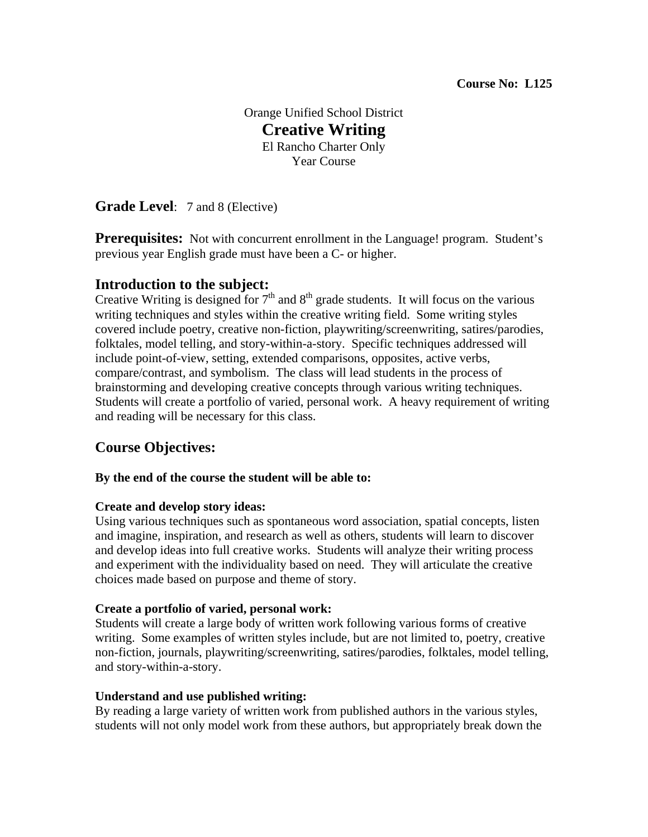Orange Unified School District **Creative Writing**  El Rancho Charter Only Year Course

**Grade Level**: 7 and 8 (Elective)

**Prerequisites:** Not with concurrent enrollment in the Language! program. Student's previous year English grade must have been a C- or higher.

# **Introduction to the subject:**

Creative Writing is designed for  $7<sup>th</sup>$  and  $8<sup>th</sup>$  grade students. It will focus on the various writing techniques and styles within the creative writing field. Some writing styles covered include poetry, creative non-fiction, playwriting/screenwriting, satires/parodies, folktales, model telling, and story-within-a-story. Specific techniques addressed will include point-of-view, setting, extended comparisons, opposites, active verbs, compare/contrast, and symbolism. The class will lead students in the process of brainstorming and developing creative concepts through various writing techniques. Students will create a portfolio of varied, personal work. A heavy requirement of writing and reading will be necessary for this class.

# **Course Objectives:**

## **By the end of the course the student will be able to:**

## **Create and develop story ideas:**

Using various techniques such as spontaneous word association, spatial concepts, listen and imagine, inspiration, and research as well as others, students will learn to discover and develop ideas into full creative works. Students will analyze their writing process and experiment with the individuality based on need. They will articulate the creative choices made based on purpose and theme of story.

## **Create a portfolio of varied, personal work:**

Students will create a large body of written work following various forms of creative writing. Some examples of written styles include, but are not limited to, poetry, creative non-fiction, journals, playwriting/screenwriting, satires/parodies, folktales, model telling, and story-within-a-story.

## **Understand and use published writing:**

By reading a large variety of written work from published authors in the various styles, students will not only model work from these authors, but appropriately break down the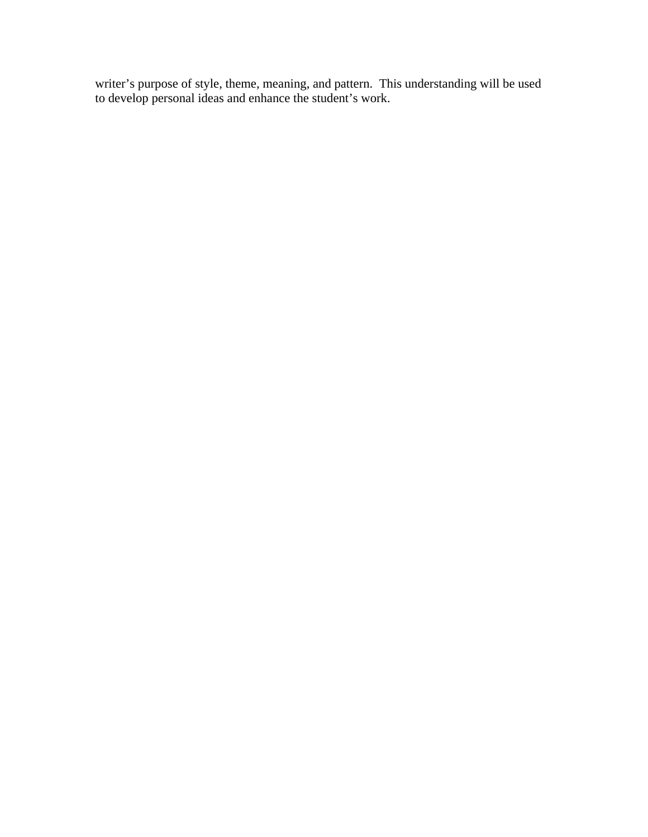writer's purpose of style, theme, meaning, and pattern. This understanding will be used to develop personal ideas and enhance the student's work.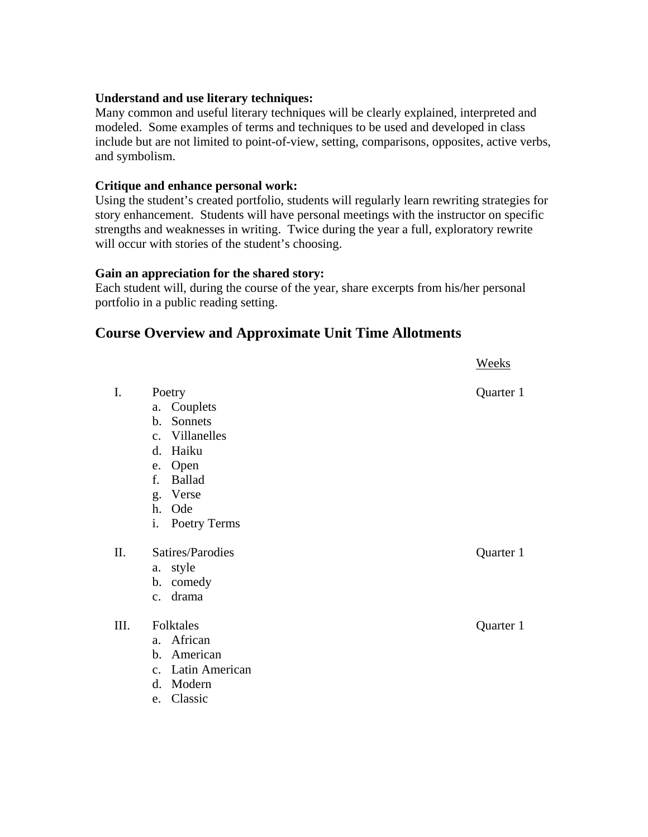#### **Understand and use literary techniques:**

Many common and useful literary techniques will be clearly explained, interpreted and modeled. Some examples of terms and techniques to be used and developed in class include but are not limited to point-of-view, setting, comparisons, opposites, active verbs, and symbolism.

#### **Critique and enhance personal work:**

Using the student's created portfolio, students will regularly learn rewriting strategies for story enhancement. Students will have personal meetings with the instructor on specific strengths and weaknesses in writing. Twice during the year a full, exploratory rewrite will occur with stories of the student's choosing.

#### **Gain an appreciation for the shared story:**

Each student will, during the course of the year, share excerpts from his/her personal portfolio in a public reading setting.

## **Course Overview and Approximate Unit Time Allotments**

|      |                                                                                                                                     | <b>Weeks</b> |
|------|-------------------------------------------------------------------------------------------------------------------------------------|--------------|
| I.   | Poetry<br>Couplets<br>a.<br>Sonnets<br>$\mathbf b$ .<br>c. Villanelles<br>Haiku<br>d.<br>e. Open<br><b>Ballad</b><br>f.<br>g. Verse | Quarter 1    |
|      | h. Ode                                                                                                                              |              |
|      | i.<br>Poetry Terms                                                                                                                  |              |
| II.  | Satires/Parodies<br>a. style<br>b. comedy<br>c. drama                                                                               | Quarter 1    |
| III. | Folktales<br>African<br>$a_{\cdot}$<br>American<br>$\mathbf{b}$ .<br>c. Latin American<br>Modern<br>d.<br>Classic<br>e.             | Quarter 1    |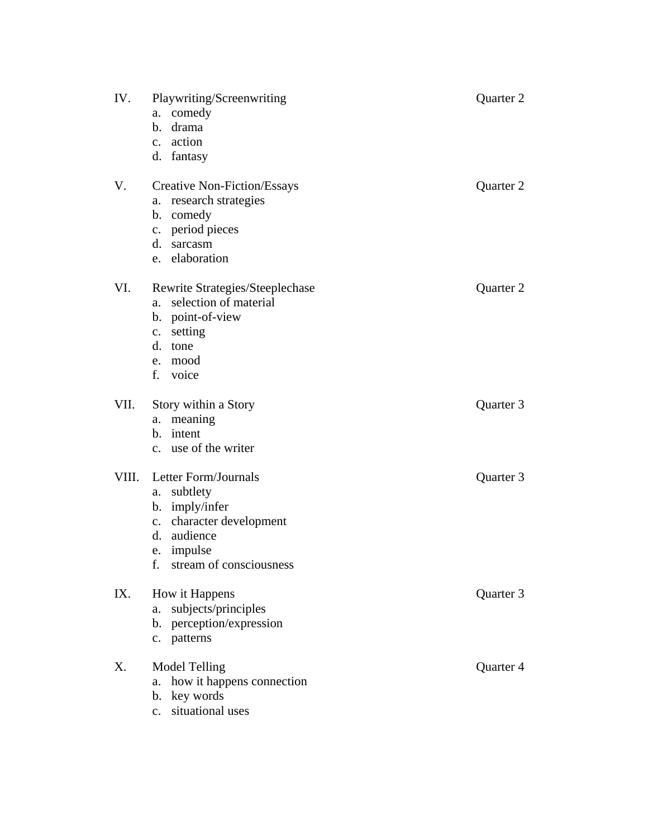| IV.   | Playwriting/Screenwriting<br>comedy<br>a.<br>drama<br>$\mathbf b$ .<br>c. action<br>d. fantasy                                                              | Quarter 2 |
|-------|-------------------------------------------------------------------------------------------------------------------------------------------------------------|-----------|
| V.    | <b>Creative Non-Fiction/Essays</b><br>research strategies<br>a.<br>b. comedy<br>period pieces<br>$\mathbf{c}$ .<br>d. sarcasm<br>elaboration<br>e.          | Quarter 2 |
| VI.   | Rewrite Strategies/Steeplechase<br>selection of material<br>a.<br>b. point-of-view<br>c. setting<br>d. tone<br>mood<br>e.<br>f.<br>voice                    | Quarter 2 |
| VII.  | Story within a Story<br>meaning<br>a.<br>b. intent<br>c. use of the writer                                                                                  | Quarter 3 |
| VIII. | Letter Form/Journals<br>subtlety<br>a.<br>b. imply/infer<br>character development<br>c.<br>audience<br>d.<br>impulse<br>e.<br>stream of consciousness<br>f. | Quarter 3 |
| IX.   | How it Happens<br>subjects/principles<br>a.<br>b. perception/expression<br>c. patterns                                                                      | Quarter 3 |
| X.    | <b>Model Telling</b><br>how it happens connection<br>a.<br>key words<br>b.<br>situational uses<br>$\mathbf{c}$ .                                            | Quarter 4 |